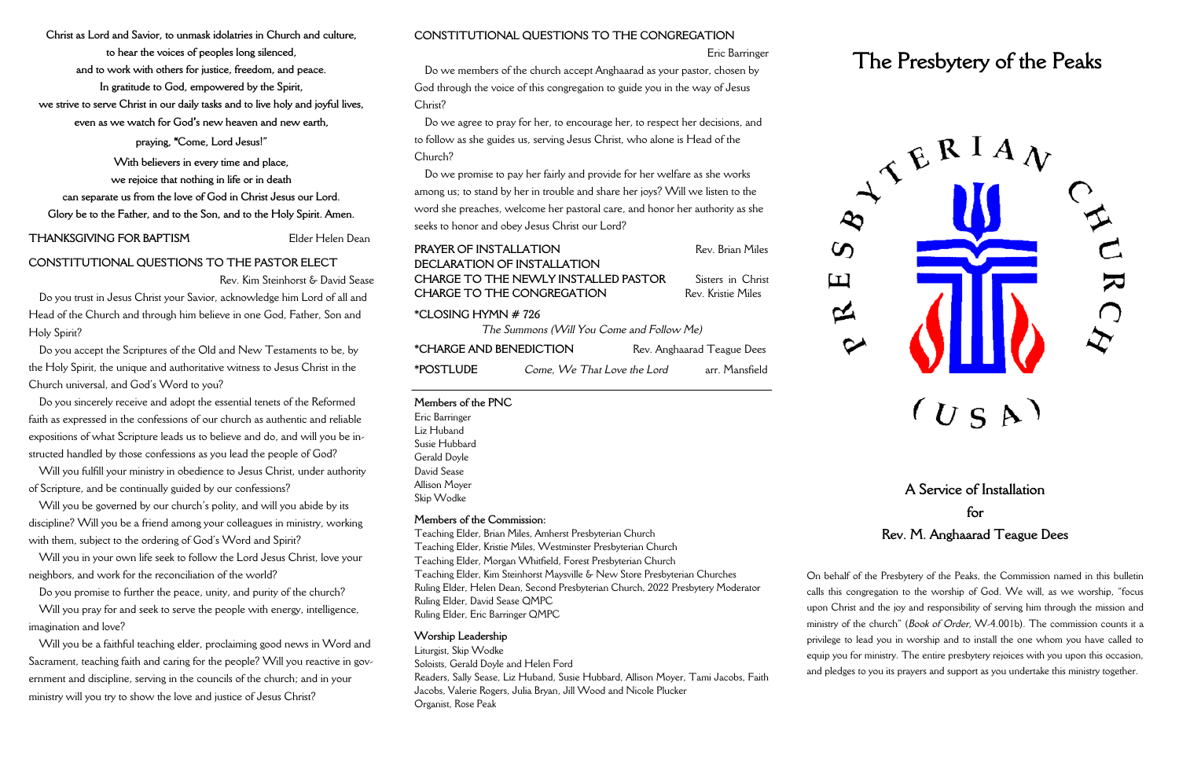| PRAYER OF INSTALLATION               | Rev. Brian Miles   |
|--------------------------------------|--------------------|
| DECLARATION OF INSTALLATION          |                    |
| CHARGE TO THE NEWLY INSTALLED PASTOR | Sisters in Christ  |
| CHARGE TO THE CONGREGATION           | Rev. Kristie Miles |
| *CLOSING HYMN # 726                  |                    |
|                                      |                    |

*The Summons (Will You Come and Follow Me)*

**\*CHARGE AND BENEDICTION** Rev. Anghaarad Teague Dees **\*POSTLUDE** *Come, We That Love the Lord* arr. Mansfield

#### **Members of the PNC**

Eric Barringer Liz Huband Susie Hubbard Gerald Doyle David Sease Allison Moyer Skip Wodke

#### **Members of the Commission:**

Teaching Elder, Brian Miles, Amherst Presbyterian Church Teaching Elder, Kristie Miles, Westminster Presbyterian Church Teaching Elder, Morgan Whitfield, Forest Presbyterian Church Teaching Elder, Kim Steinhorst Maysville & New Store Presbyterian Churches Ruling Elder, Helen Dean, Second Presbyterian Church, 2022 Presbytery Moderator Ruling Elder, David Sease QMPC Ruling Elder, Eric Barringer QMPC

#### **Worship Leadership**

Liturgist, Skip Wodke Soloists, Gerald Doyle and Helen Ford Readers, Sally Sease, Liz Huband, Susie Hubbard, Allison Moyer, Tami Jacobs, Faith Jacobs, Valerie Rogers, Julia Bryan, Jill Wood and Nicole Plucker Organist, Rose Peak

ш

#### **CONSTITUTIONAL QUESTIONS TO THE CONGREGATION**

Eric Barringer

Do we members of the church accept Anghaarad as your pastor, chosen by God through the voice of this congregation to guide you in the way of Jesus Christ?

Do we agree to pray for her, to encourage her, to respect her decisions, and to follow as she guides us, serving Jesus Christ, who alone is Head of the Church?

Do we promise to pay her fairly and provide for her welfare as she works among us; to stand by her in trouble and share her joys? Will we listen to the word she preaches, welcome her pastoral care, and honor her authority as she seeks to honor and obey Jesus Christ our Lord?

**Christ as Lord and Savior, to unmask idolatries in Church and culture,**

**to hear the voices of peoples long silenced,**

**and to work with others for justice, freedom, and peace.**

**In gratitude to God, empowered by the Spirit, we strive to serve Christ in our daily tasks and to live holy and joyful lives,**

**even as we watch for God**'**s new heaven and new earth,**

**praying,** "**Come, Lord Jesus!"**

**With believers in every time and place, we rejoice that nothing in life or in death can separate us from the love of God in Christ Jesus our Lord. Glory be to the Father, and to the Son, and to the Holy Spirit. Amen.**

#### **THANKSGIVING FOR BAPTISM** Elder Helen Dean

### **CONSTITUTIONAL QUESTIONS TO THE PASTOR ELECT**

Rev. Kim Steinhorst & David Sease

Do you trust in Jesus Christ your Savior, acknowledge him Lord of all and Head of the Church and through him believe in one God, Father, Son and Holy Spirit?

Do you accept the Scriptures of the Old and New Testaments to be, by the Holy Spirit, the unique and authoritative witness to Jesus Christ in the Church universal, and God's Word to you?

Do you sincerely receive and adopt the essential tenets of the Reformed faith as expressed in the confessions of our church as authentic and reliable expositions of what Scripture leads us to believe and do, and will you be instructed handled by those confessions as you lead the people of God?

Will you fulfill your ministry in obedience to Jesus Christ, under authority of Scripture, and be continually guided by our confessions?

Will you be governed by our church's polity, and will you abide by its discipline? Will you be a friend among your colleagues in ministry, working with them, subject to the ordering of God's Word and Spirit?

Will you in your own life seek to follow the Lord Jesus Christ, love your neighbors, and work for the reconciliation of the world?

Do you promise to further the peace, unity, and purity of the church?

Will you pray for and seek to serve the people with energy, intelligence, imagination and love?

Will you be a faithful teaching elder, proclaiming good news in Word and Sacrament, teaching faith and caring for the people? Will you reactive in government and discipline, serving in the councils of the church; and in your ministry will you try to show the love and justice of Jesus Christ?

# **A Service of Installation for Rev. M. Anghaarad Teague Dees**

On behalf of the Presbytery of the Peaks, the Commission named in this bulletin calls this congregation to the worship of God. We will, as we worship, "focus upon Christ and the joy and responsibility of serving him through the mission and ministry of the church" (*Book of Order,* W-4.001b). The commission counts it a privilege to lead you in worship and to install the one whom you have called to equip you for ministry. The entire presbytery rejoices with you upon this occasion, and pledges to you its prayers and support as you undertake this ministry together.

# **The Presbytery of the Peaks**